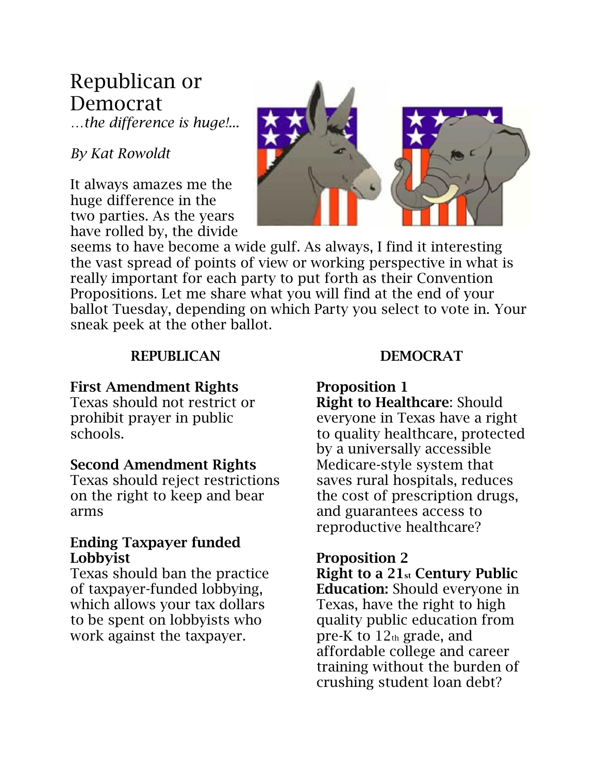## Republican or Democrat

*…the difference is huge!...*

### *By Kat Rowoldt*

It always amazes me the huge difference in the two parties. As the years have rolled by, the divide



seems to have become a wide gulf. As always, I find it interesting the vast spread of points of view or working perspective in what is really important for each party to put forth as their Convention Propositions. Let me share what you will find at the end of your ballot Tuesday, depending on which Party you select to vote in. Your sneak peek at the other ballot.

### REPUBLICAN

### First Amendment Rights

Texas should not restrict or prohibit prayer in public schools.

### Second Amendment Rights

Texas should reject restrictions on the right to keep and bear arms

### Ending Taxpayer funded Lobbyist

Texas should ban the practice of taxpayer-funded lobbying, which allows your tax dollars to be spent on lobbyists who work against the taxpayer.

### DEMOCRAT

### Proposition 1

Right to Healthcare: Should everyone in Texas have a right to quality healthcare, protected by a universally accessible Medicare-style system that saves rural hospitals, reduces the cost of prescription drugs, and guarantees access to reproductive healthcare?

### Proposition 2

Right to a 21st Century Public Education: Should everyone in Texas, have the right to high quality public education from pre-K to  $12<sub>th</sub>$  grade, and affordable college and career training without the burden of crushing student loan debt?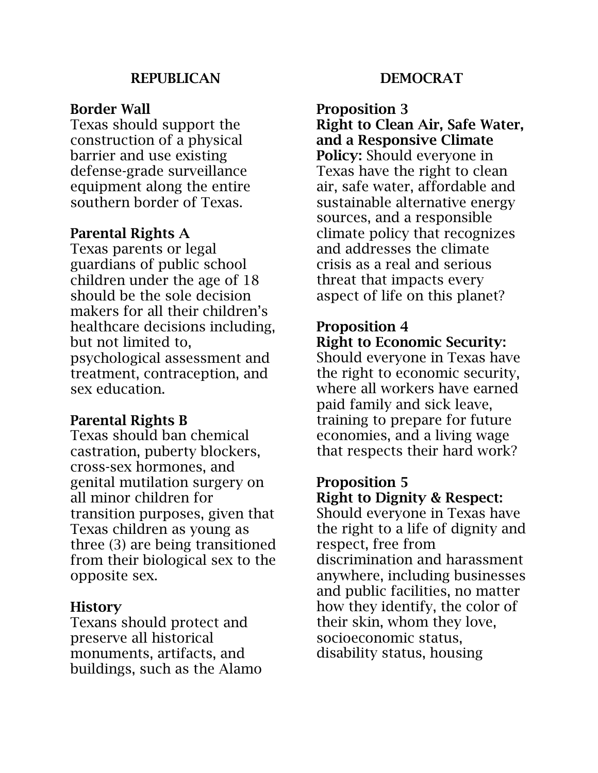### **REPUBLICAN**

### Border Wall

Texas should support the construction of a physical barrier and use existing defense-grade surveillance equipment along the entire southern border of Texas.

### Parental Rights A

Texas parents or legal guardians of public school children under the age of 18 should be the sole decision makers for all their children's healthcare decisions including, but not limited to, psychological assessment and treatment, contraception, and sex education.

### Parental Rights B

Texas should ban chemical castration, puberty blockers, cross-sex hormones, and genital mutilation surgery on all minor children for transition purposes, given that Texas children as young as three (3) are being transitioned from their biological sex to the opposite sex.

### **History**

Texans should protect and preserve all historical monuments, artifacts, and buildings, such as the Alamo

### DEMOCRAT

Proposition 3 Right to Clean Air, Safe Water, and a Responsive Climate Policy: Should everyone in Texas have the right to clean air, safe water, affordable and sustainable alternative energy sources, and a responsible climate policy that recognizes and addresses the climate crisis as a real and serious threat that impacts every aspect of life on this planet?

### Proposition 4 Right to Economic Security:

Should everyone in Texas have the right to economic security, where all workers have earned paid family and sick leave, training to prepare for future economies, and a living wage that respects their hard work?

### Proposition 5

Right to Dignity & Respect: Should everyone in Texas have the right to a life of dignity and respect, free from discrimination and harassment anywhere, including businesses and public facilities, no matter how they identify, the color of their skin, whom they love, socioeconomic status, disability status, housing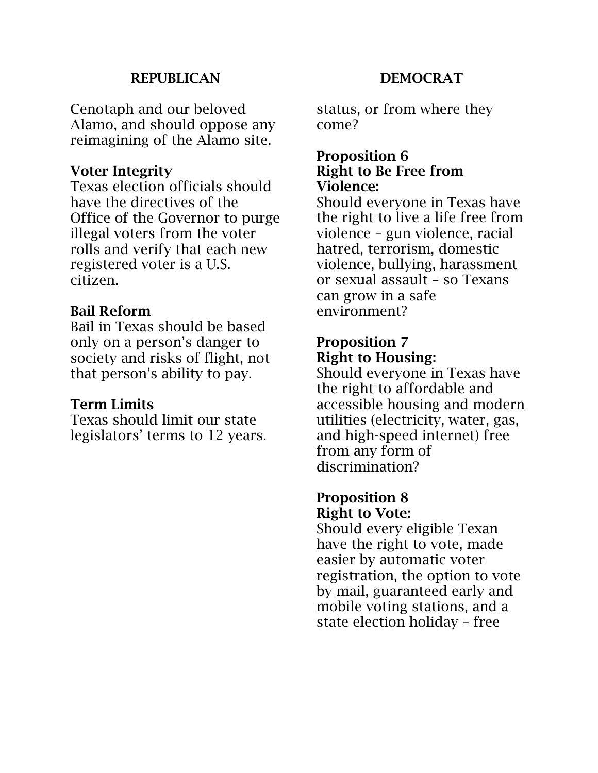### **REPUBLICAN**

Cenotaph and our beloved Alamo, and should oppose any reimagining of the Alamo site.

### Voter Integrity

Texas election officials should have the directives of the Office of the Governor to purge illegal voters from the voter rolls and verify that each new registered voter is a U.S. citizen.

### Bail Reform

Bail in Texas should be based only on a person's danger to society and risks of flight, not that person's ability to pay.

### Term Limits

Texas should limit our state legislators' terms to 12 years.

### DEMOCRAT

status, or from where they come?

### Proposition 6 Right to Be Free from Violence:

Should everyone in Texas have the right to live a life free from violence – gun violence, racial hatred, terrorism, domestic violence, bullying, harassment or sexual assault – so Texans can grow in a safe environment?

### Proposition 7 Right to Housing:

Should everyone in Texas have the right to affordable and accessible housing and modern utilities (electricity, water, gas, and high-speed internet) free from any form of discrimination?

#### Proposition 8 Right to Vote:

Should every eligible Texan have the right to vote, made easier by automatic voter registration, the option to vote by mail, guaranteed early and mobile voting stations, and a state election holiday – free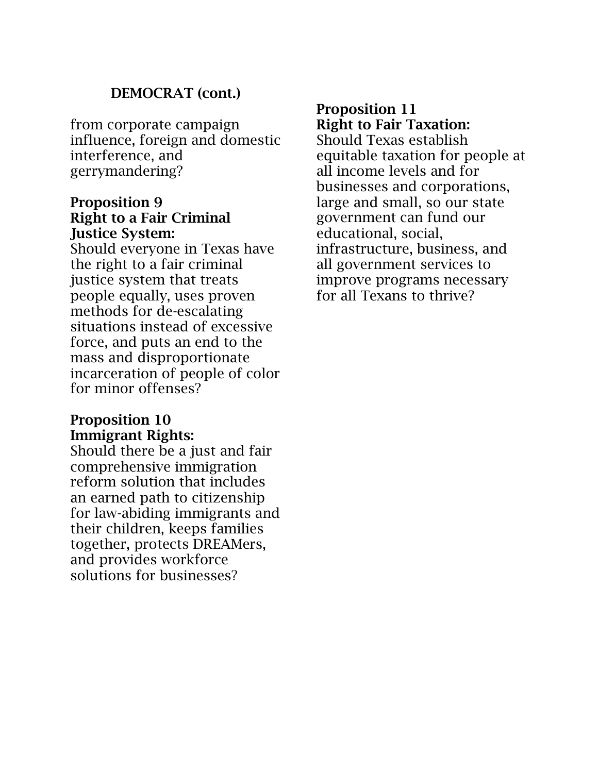### DEMOCRAT (cont.)

from corporate campaign influence, foreign and domestic interference, and gerrymandering?

### Proposition 9 Right to a Fair Criminal Justice System:

Should everyone in Texas have the right to a fair criminal justice system that treats people equally, uses proven methods for de-escalating situations instead of excessive force, and puts an end to the mass and disproportionate incarceration of people of color for minor offenses?

### Proposition 10 Immigrant Rights:

Should there be a just and fair comprehensive immigration reform solution that includes an earned path to citizenship for law-abiding immigrants and their children, keeps families together, protects DREAMers, and provides workforce solutions for businesses?

### Proposition 11 Right to Fair Taxation:

Should Texas establish equitable taxation for people at all income levels and for businesses and corporations, large and small, so our state government can fund our educational, social, infrastructure, business, and all government services to improve programs necessary for all Texans to thrive?